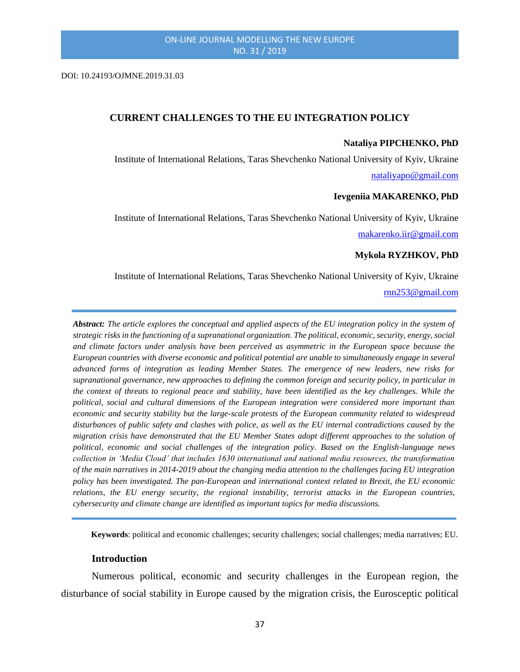DOI: 10.24193/OJMNE.2019.31.03

### **CURRENT CHALLENGES TO THE EU INTEGRATION POLICY**

#### **Nataliya PIPCHENKO, PhD**

Institute of International Relations, Taras Shevchenko National University of Kyiv, Ukraine [nataliyapo@gmail.com](mailto:makarenko.iir@gmail.com)

#### **Ievgeniia MAKARENKO, PhD**

Institute of International Relations, Taras Shevchenko National University of Kyiv, Ukraine [makarenko.iir@gmail.com](mailto:makarenko.iir@gmail.com)

#### **Mykola RYZHKOV, PhD**

Institute of International Relations, Taras Shevchenko National University of Kyiv, Ukraine

### [rnn253@gmail.com](mailto:rnn253@gmail.com)

*Abstract: The article explores the conceptual and applied aspects of the EU integration policy in the system of strategic risks in the functioning of a supranational organization. The political, economic, security, energy, social and climate factors under analysis have been perceived as asymmetric in the European space because the European countries with diverse economic and political potential are unable to simultaneously engage in several advanced forms of integration as leading Member States. The emergence of new leaders, new risks for supranational governance, new approaches to defining the common foreign and security policy, in particular in the context of threats to regional peace and stability, have been identified as the key challenges. While the political, social and cultural dimensions of the European integration were considered more important than economic and security stability but the large-scale protests of the European community related to widespread disturbances of public safety and clashes with police, as well as the EU internal contradictions caused by the migration crisis have demonstrated that the EU Member States adopt different approaches to the solution of political, economic and social challenges of the integration policy. Based on the English-language news collection in 'Media Cloud' that includes 1630 international and national media resources, the transformation of the main narratives in 2014-2019 about the changing media attention to the challenges facing EU integration policy has been investigated. The pan-European and international context related to Brexit, the EU economic relations, the EU energy security, the regional instability, terrorist attacks in the European countries, cybersecurity and climate change are identified as important topics for media discussions.*

**Keywords**: political and economic challenges; security challenges; social challenges; media narratives; EU.

### **Introduction**

Numerous political, economic and security challenges in the European region, the disturbance of social stability in Europe caused by the migration crisis, the Eurosceptic political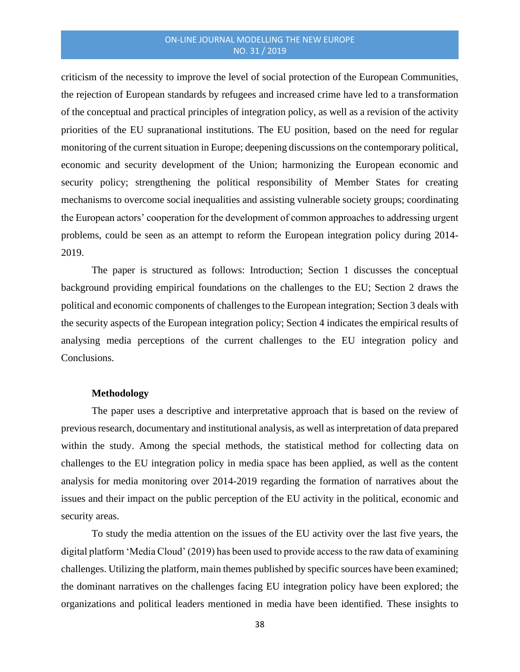criticism of the necessity to improve the level of social protection of the European Communities, the rejection of European standards by refugees and increased crime have led to a transformation of the conceptual and practical principles of integration policy, as well as a revision of the activity priorities of the EU supranational institutions. The EU position, based on the need for regular monitoring of the current situation in Europe; deepening discussions on the contemporary political, economic and security development of the Union; harmonizing the European economic and security policy; strengthening the political responsibility of Member States for creating mechanisms to overcome social inequalities and assisting vulnerable society groups; coordinating the European actors' cooperation for the development of common approaches to addressing urgent problems, could be seen as an attempt to reform the European integration policy during 2014- 2019.

The paper is structured as follows: Introduction; Section 1 discusses the conceptual background providing empirical foundations on the challenges to the EU; Section 2 draws the political and economic components of challenges to the European integration; Section 3 deals with the security aspects of the European integration policy; Section 4 indicates the empirical results of analysing media perceptions of the current challenges to the EU integration policy and Conclusions.

## **Methodology**

The paper uses a descriptive and interpretative approach that is based on the review of previous research, documentary and institutional analysis, as well as interpretation of data prepared within the study. Among the special methods, the statistical method for collecting data on challenges to the EU integration policy in media space has been applied, as well as the content analysis for media monitoring over 2014-2019 regarding the formation of narratives about the issues and their impact on the public perception of the EU activity in the political, economic and security areas.

To study the media attention on the issues of the EU activity over the last five years, the digital platform 'Media Cloud' (2019) has been used to provide access to the raw data of examining challenges. Utilizing the platform, main themes published by specific sources have been examined; the dominant narratives on the challenges facing EU integration policy have been explored; the organizations and political leaders mentioned in media have been identified. These insights to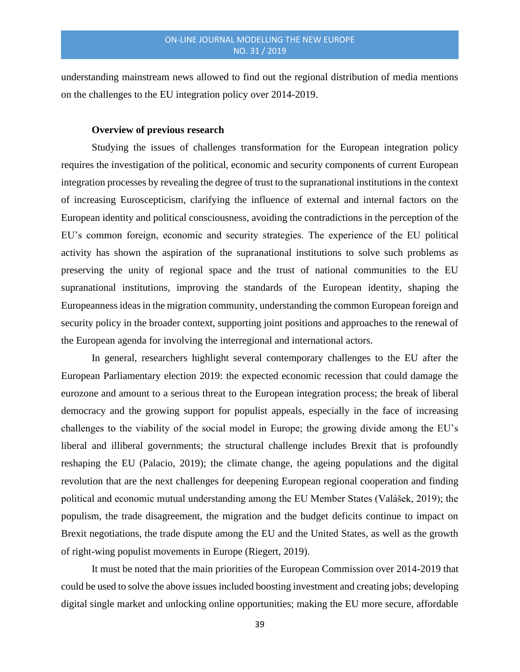understanding mainstream news allowed to find out the regional distribution of media mentions on the challenges to the EU integration policy over 2014-2019.

#### **Overview of previous research**

Studying the issues of challenges transformation for the European integration policy requires the investigation of the political, economic and security components of current European integration processes by revealing the degree of trust to the supranational institutions in the context of increasing Euroscepticism, clarifying the influence of external and internal factors on the European identity and political consciousness, avoiding the contradictions in the perception of the EU's common foreign, economic and security strategies. The experience of the EU political activity has shown the aspiration of the supranational institutions to solve such problems as preserving the unity of regional space and the trust of national communities to the EU supranational institutions, improving the standards of the European identity, shaping the Europeanness ideas in the migration community, understanding the common European foreign and security policy in the broader context, supporting joint positions and approaches to the renewal of the European agenda for involving the interregional and international actors.

In general, researchers highlight several contemporary challenges to the EU after the European Parliamentary election 2019: the expected economic recession that could damage the eurozone and amount to a serious threat to the European integration process; the break of liberal democracy and the growing support for populist appeals, especially in the face of increasing challenges to the viability of the social model in Europe; the growing divide among the EU's liberal and illiberal governments; the structural challenge includes Brexit that is profoundly reshaping the EU (Palacio, 2019); the climate change, the ageing populations and the digital revolution that are the next challenges for deepening European regional cooperation and finding political and economic mutual understanding among the EU Member States (Valášek, 2019); the populism, the trade disagreement, the migration and the budget deficits continue to impact on Brexit negotiations, the trade dispute among the EU and the United States, as well as the growth of right-wing populist movements in Europe (Riegert, 2019).

It must be noted that the main priorities of the European Commission over 2014-2019 that could be used to solve the above issues included boosting investment and creating jobs; developing digital single market and unlocking online opportunities; making the EU more secure, affordable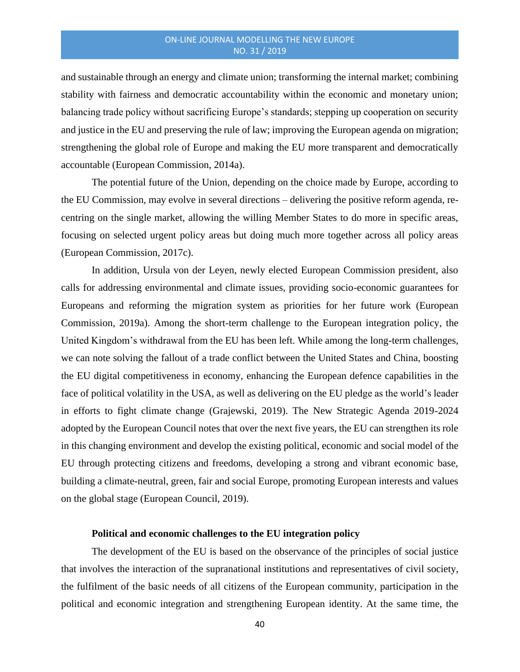and sustainable through an energy and climate union; transforming the internal market; combining stability with fairness and democratic accountability within the economic and monetary union; balancing trade policy without sacrificing Europe's standards; stepping up cooperation on security and justice in the EU and preserving the rule of law; improving the European agenda on migration; strengthening the global role of Europe and making the EU more transparent and democratically accountable (European Commission, 2014a).

The potential future of the Union, depending on the choice made by Europe, according to the EU Commission, may evolve in several directions – delivering the positive reform agenda, recentring on the single market, allowing the willing Member States to do more in specific areas, focusing on selected urgent policy areas but doing much more together across all policy areas (European Commission, 2017c).

In addition, Ursula von der Leyen, newly elected European Commission president, also calls for addressing environmental and climate issues, providing socio-economic guarantees for Europeans and reforming the migration system as priorities for her future work (European Commission, 2019a). Among the short-term challenge to the European integration policy, the United Kingdom's withdrawal from the EU has been left. While among the long-term challenges, we can note solving the fallout of a trade conflict between the United States and China, boosting the EU digital competitiveness in economy, enhancing the European defence capabilities in the face of political volatility in the USA, as well as delivering on the EU pledge as the world's leader in efforts to fight climate change (Grajewski, 2019). The New Strategic Agenda 2019-2024 adopted by the European Council notes that over the next five years, the EU can strengthen its role in this changing environment and develop the existing political, economic and social model of the EU through protecting citizens and freedoms, developing a strong and vibrant economic base, building a climate-neutral, green, fair and social Europe, promoting European interests and values on the global stage (European Council, 2019).

## **Political and economic challenges to the EU integration policy**

The development of the EU is based on the observance of the principles of social justice that involves the interaction of the supranational institutions and representatives of civil society, the fulfilment of the basic needs of all citizens of the European community, participation in the political and economic integration and strengthening European identity. At the same time, the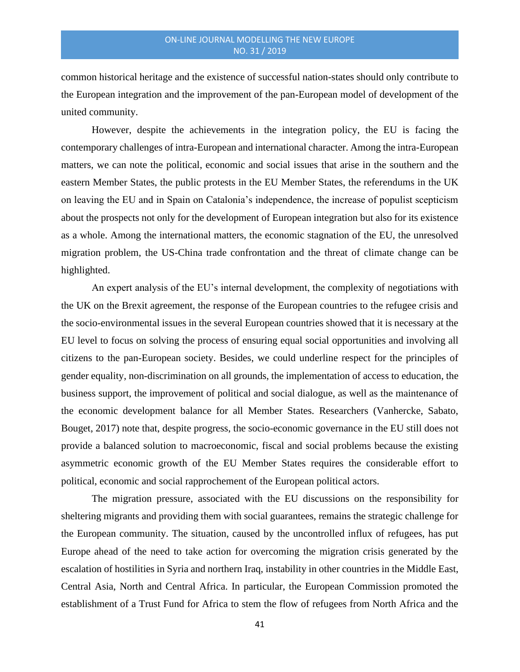common historical heritage and the existence of successful nation-states should only contribute to the European integration and the improvement of the pan-European model of development of the united community.

However, despite the achievements in the integration policy, the EU is facing the contemporary challenges of intra-European and international character. Among the intra-European matters, we can note the political, economic and social issues that arise in the southern and the eastern Member States, the public protests in the EU Member States, the referendums in the UK on leaving the EU and in Spain on Catalonia's independence, the increase of populist scepticism about the prospects not only for the development of European integration but also for its existence as a whole. Among the international matters, the economic stagnation of the EU, the unresolved migration problem, the US-China trade confrontation and the threat of climate change can be highlighted.

An expert analysis of the EU's internal development, the complexity of negotiations with the UK on the Brexit agreement, the response of the European countries to the refugee crisis and the socio-environmental issues in the several European countries showed that it is necessary at the EU level to focus on solving the process of ensuring equal social opportunities and involving all citizens to the pan-European society. Besides, we could underline respect for the principles of gender equality, non-discrimination on all grounds, the implementation of access to education, the business support, the improvement of political and social dialogue, as well as the maintenance of the economic development balance for all Member States. Researchers (Vanhercke, Sabato, Bouget, 2017) note that, despite progress, the socio-economic governance in the EU still does not provide a balanced solution to macroeconomic, fiscal and social problems because the existing asymmetric economic growth of the EU Member States requires the considerable effort to political, economic and social rapprochement of the European political actors.

The migration pressure, associated with the EU discussions on the responsibility for sheltering migrants and providing them with social guarantees, remains the strategic challenge for the European community. The situation, caused by the uncontrolled influx of refugees, has put Europe ahead of the need to take action for overcoming the migration crisis generated by the escalation of hostilities in Syria and northern Iraq, instability in other countries in the Middle East, Central Asia, North and Central Africa. In particular, the European Commission promoted the establishment of a Trust Fund for Africa to stem the flow of refugees from North Africa and the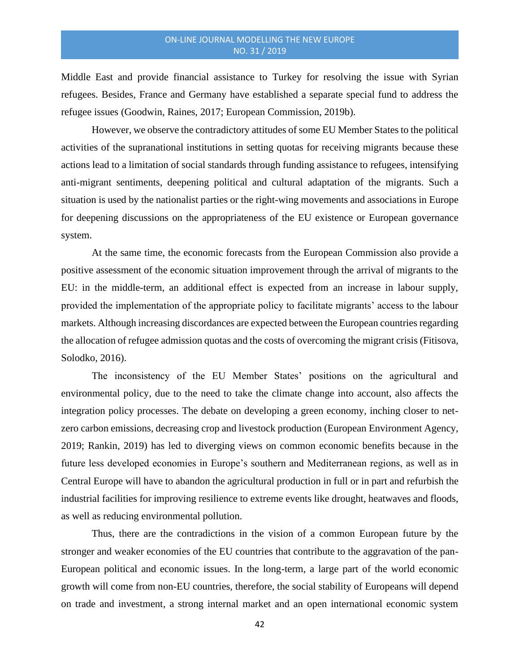Middle East and provide financial assistance to Turkey for resolving the issue with Syrian refugees. Besides, France and Germany have established a separate special fund to address the refugee issues (Goodwin, Raines, 2017; European Commission, 2019b).

However, we observe the contradictory attitudes of some EU Member States to the political activities of the supranational institutions in setting quotas for receiving migrants because these actions lead to a limitation of social standards through funding assistance to refugees, intensifying anti-migrant sentiments, deepening political and cultural adaptation of the migrants. Such a situation is used by the nationalist parties or the right-wing movements and associations in Europe for deepening discussions on the appropriateness of the EU existence or European governance system.

At the same time, the economic forecasts from the European Commission also provide a positive assessment of the economic situation improvement through the arrival of migrants to the EU: in the middle-term, an additional effect is expected from an increase in labour supply, provided the implementation of the appropriate policy to facilitate migrants' access to the labour markets. Although increasing discordances are expected between the European countries regarding the allocation of refugee admission quotas and the costs of overcoming the migrant crisis (Fitisova, Solodko, 2016).

The inconsistency of the EU Member States' positions on the agricultural and environmental policy, due to the need to take the climate change into account, also affects the integration policy processes. The debate on developing a green economy, inching closer to netzero carbon emissions, decreasing crop and livestock production (European Environment Agency, 2019; Rankin, 2019) has led to diverging views on common economic benefits because in the future less developed economies in Europe's southern and Mediterranean regions, as well as in Central Europe will have to abandon the agricultural production in full or in part and refurbish the industrial facilities for improving resilience to extreme events like drought, heatwaves and floods, as well as reducing environmental pollution.

Thus, there are the contradictions in the vision of a common European future by the stronger and weaker economies of the EU countries that contribute to the aggravation of the pan-European political and economic issues. In the long-term, a large part of the world economic growth will come from non-EU countries, therefore, the social stability of Europeans will depend on trade and investment, a strong internal market and an open international economic system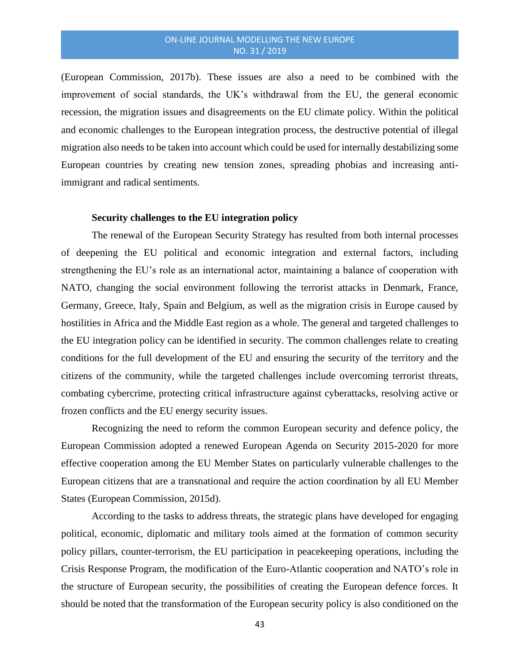(European Commission, 2017b). These issues are also a need to be combined with the improvement of social standards, the UK's withdrawal from the EU, the general economic recession, the migration issues and disagreements on the EU climate policy. Within the political and economic challenges to the European integration process, the destructive potential of illegal migration also needs to be taken into account which could be used for internally destabilizing some European countries by creating new tension zones, spreading phobias and increasing antiimmigrant and radical sentiments.

#### **Security challenges to the EU integration policy**

The renewal of the European Security Strategy has resulted from both internal processes of deepening the EU political and economic integration and external factors, including strengthening the EU's role as an international actor, maintaining a balance of cooperation with NATO, changing the social environment following the terrorist attacks in Denmark, France, Germany, Greece, Italy, Spain and Belgium, as well as the migration crisis in Europe caused by hostilities in Africa and the Middle East region as a whole. The general and targeted challenges to the EU integration policy can be identified in security. The common challenges relate to creating conditions for the full development of the EU and ensuring the security of the territory and the citizens of the community, while the targeted challenges include overcoming terrorist threats, combating cybercrime, protecting critical infrastructure against cyberattacks, resolving active or frozen conflicts and the EU energy security issues.

Recognizing the need to reform the common European security and defence policy, the European Commission adopted a renewed European Agenda on Security 2015-2020 for more effective cooperation among the EU Member States on particularly vulnerable challenges to the European citizens that are a transnational and require the action coordination by all EU Member States (European Commission, 2015d).

According to the tasks to address threats, the strategic plans have developed for engaging political, economic, diplomatic and military tools aimed at the formation of common security policy pillars, counter-terrorism, the EU participation in peacekeeping operations, including the Crisis Response Program, the modification of the Euro-Atlantic cooperation and NATO's role in the structure of European security, the possibilities of creating the European defence forces. It should be noted that the transformation of the European security policy is also conditioned on the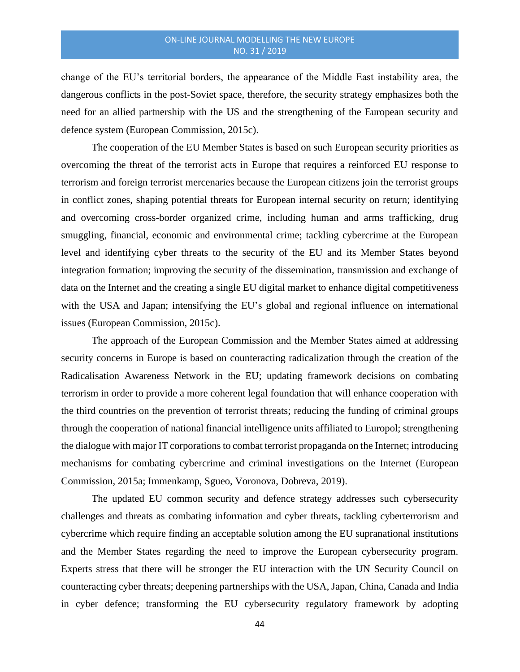change of the EU's territorial borders, the appearance of the Middle East instability area, the dangerous conflicts in the post-Soviet space, therefore, the security strategy emphasizes both the need for an allied partnership with the US and the strengthening of the European security and defence system (European Commission, 2015c).

The cooperation of the EU Member States is based on such European security priorities as overcoming the threat of the terrorist acts in Europe that requires a reinforced EU response to terrorism and foreign terrorist mercenaries because the European citizens join the terrorist groups in conflict zones, shaping potential threats for European internal security on return; identifying and overcoming cross-border organized crime, including human and arms trafficking, drug smuggling, financial, economic and environmental crime; tackling cybercrime at the European level and identifying cyber threats to the security of the EU and its Member States beyond integration formation; improving the security of the dissemination, transmission and exchange of data on the Internet and the creating a single EU digital market to enhance digital competitiveness with the USA and Japan; intensifying the EU's global and regional influence on international issues (European Commission, 2015c).

The approach of the European Commission and the Member States aimed at addressing security concerns in Europe is based on counteracting radicalization through the creation of the Radicalisation Awareness Network in the EU; updating framework decisions on combating terrorism in order to provide a more coherent legal foundation that will enhance cooperation with the third countries on the prevention of terrorist threats; reducing the funding of criminal groups through the cooperation of national financial intelligence units affiliated to Europol; strengthening the dialogue with major IT corporations to combat terrorist propaganda on the Internet; introducing mechanisms for combating cybercrime and criminal investigations on the Internet (European Commission, 2015a; Immenkamp, Sgueo, Voronova, Dobreva, 2019).

The updated EU common security and defence strategy addresses such cybersecurity challenges and threats as combating information and cyber threats, tackling cyberterrorism and cybercrime which require finding an acceptable solution among the EU supranational institutions and the Member States regarding the need to improve the European cybersecurity program. Experts stress that there will be stronger the EU interaction with the UN Security Council on counteracting cyber threats; deepening partnerships with the USA, Japan, China, Canada and India in cyber defence; transforming the EU cybersecurity regulatory framework by adopting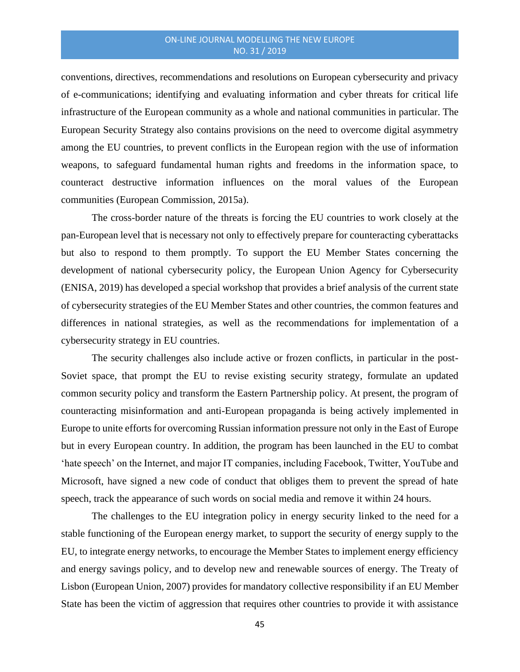conventions, directives, recommendations and resolutions on European cybersecurity and privacy of e-communications; identifying and evaluating information and cyber threats for critical life infrastructure of the European community as a whole and national communities in particular. The European Security Strategy also contains provisions on the need to overcome digital asymmetry among the EU countries, to prevent conflicts in the European region with the use of information weapons, to safeguard fundamental human rights and freedoms in the information space, to counteract destructive information influences on the moral values of the European communities (European Commission, 2015a).

The cross-border nature of the threats is forcing the EU countries to work closely at the pan-European level that is necessary not only to effectively prepare for counteracting cyberattacks but also to respond to them promptly. To support the EU Member States concerning the development of national cybersecurity policy, the European Union Agency for Cybersecurity (ENISA, 2019) has developed a special workshop that provides a brief analysis of the current state of cybersecurity strategies of the EU Member States and other countries, the common features and differences in national strategies, as well as the recommendations for implementation of a cybersecurity strategy in EU countries.

The security challenges also include active or frozen conflicts, in particular in the post-Soviet space, that prompt the EU to revise existing security strategy, formulate an updated common security policy and transform the Eastern Partnership policy. At present, the program of counteracting misinformation and anti-European propaganda is being actively implemented in Europe to unite efforts for overcoming Russian information pressure not only in the East of Europe but in every European country. In addition, the program has been launched in the EU to combat 'hate speech' on the Internet, and major IT companies, including Facebook, Twitter, YouTube and Microsoft, have signed a new code of conduct that obliges them to prevent the spread of hate speech, track the appearance of such words on social media and remove it within 24 hours.

The challenges to the EU integration policy in energy security linked to the need for a stable functioning of the European energy market, to support the security of energy supply to the EU, to integrate energy networks, to encourage the Member States to implement energy efficiency and energy savings policy, and to develop new and renewable sources of energy. The Treaty of Lisbon (European Union, 2007) provides for mandatory collective responsibility if an EU Member State has been the victim of aggression that requires other countries to provide it with assistance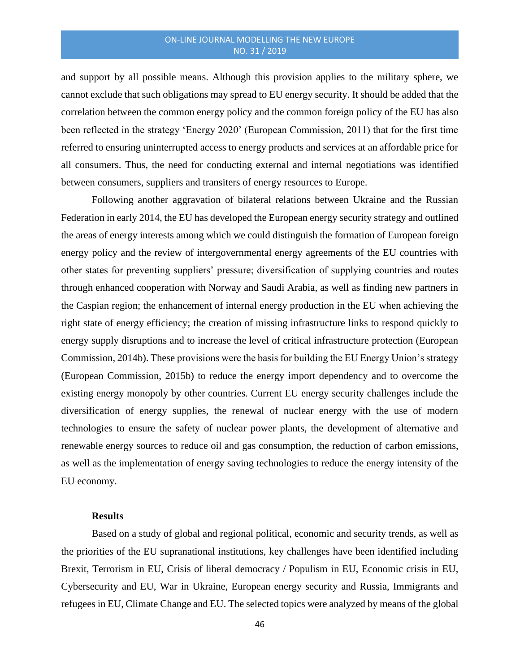and support by all possible means. Although this provision applies to the military sphere, we cannot exclude that such obligations may spread to EU energy security. It should be added that the correlation between the common energy policy and the common foreign policy of the EU has also been reflected in the strategy 'Energy 2020' (European Commission, 2011) that for the first time referred to ensuring uninterrupted access to energy products and services at an affordable price for all consumers. Thus, the need for conducting external and internal negotiations was identified between consumers, suppliers and transiters of energy resources to Europe.

Following another aggravation of bilateral relations between Ukraine and the Russian Federation in early 2014, the EU has developed the European energy security strategy and outlined the areas of energy interests among which we could distinguish the formation of European foreign energy policy and the review of intergovernmental energy agreements of the EU countries with other states for preventing suppliers' pressure; diversification of supplying countries and routes through enhanced cooperation with Norway and Saudi Arabia, as well as finding new partners in the Caspian region; the enhancement of internal energy production in the EU when achieving the right state of energy efficiency; the creation of missing infrastructure links to respond quickly to energy supply disruptions and to increase the level of critical infrastructure protection (European Commission, 2014b). These provisions were the basis for building the EU Energy Union's strategy (European Commission, 2015b) to reduce the energy import dependency and to overcome the existing energy monopoly by other countries. Current EU energy security challenges include the diversification of energy supplies, the renewal of nuclear energy with the use of modern technologies to ensure the safety of nuclear power plants, the development of alternative and renewable energy sources to reduce oil and gas consumption, the reduction of carbon emissions, as well as the implementation of energy saving technologies to reduce the energy intensity of the EU economy.

## **Results**

Based on a study of global and regional political, economic and security trends, as well as the priorities of the EU supranational institutions, key challenges have been identified including Brexit, Terrorism in EU, Crisis of liberal democracy / Populism in EU, Economic crisis in EU, Cybersecurity and EU, War in Ukraine, European energy security and Russia, Immigrants and refugees in EU, Climate Change and EU. The selected topics were analyzed by means of the global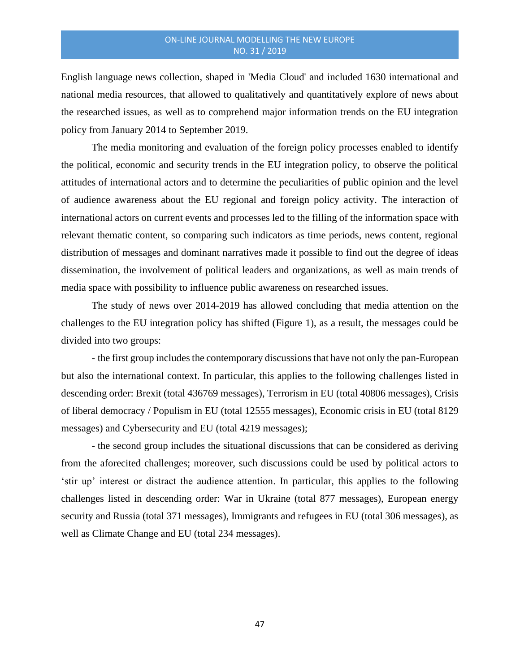English language news collection, shaped in 'Media Cloud' and included 1630 international and national media resources, that allowed to qualitatively and quantitatively explore of news about the researched issues, as well as to comprehend major information trends on the EU integration policy from January 2014 to September 2019.

The media monitoring and evaluation of the foreign policy processes enabled to identify the political, economic and security trends in the EU integration policy, to observe the political attitudes of international actors and to determine the peculiarities of public opinion and the level of audience awareness about the EU regional and foreign policy activity. The interaction of international actors on current events and processes led to the filling of the information space with relevant thematic content, so comparing such indicators as time periods, news content, regional distribution of messages and dominant narratives made it possible to find out the degree of ideas dissemination, the involvement of political leaders and organizations, as well as main trends of media space with possibility to influence public awareness on researched issues.

The study of news over 2014-2019 has allowed concluding that media attention on the challenges to the EU integration policy has shifted (Figure 1), as a result, the messages could be divided into two groups:

- the first group includes the contemporary discussions that have not only the pan-European but also the international context. In particular, this applies to the following challenges listed in descending order: Brexit (total 436769 messages), Terrorism in EU (total 40806 messages), Crisis of liberal democracy / Populism in EU (total 12555 messages), Economic crisis in EU (total 8129 messages) and Cybersecurity and EU (total 4219 messages);

- the second group includes the situational discussions that can be considered as deriving from the aforecited challenges; moreover, such discussions could be used by political actors to 'stir up' interest or distract the audience attention. In particular, this applies to the following challenges listed in descending order: War in Ukraine (total 877 messages), European energy security and Russia (total 371 messages), Immigrants and refugees in EU (total 306 messages), as well as Climate Change and EU (total 234 messages).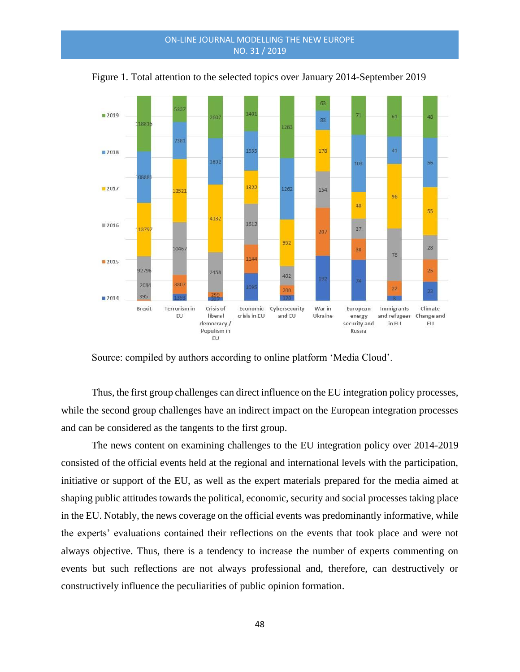

Figure 1. Total attention to the selected topics over January 2014-September 2019

Source: compiled by authors according to online platform 'Media Cloud'.

Thus, the first group challenges can direct influence on the EU integration policy processes, while the second group challenges have an indirect impact on the European integration processes and can be considered as the tangents to the first group.

The news content on examining challenges to the EU integration policy over 2014-2019 consisted of the official events held at the regional and international levels with the participation, initiative or support of the EU, as well as the expert materials prepared for the media aimed at shaping public attitudes towards the political, economic, security and social processes taking place in the EU. Notably, the news coverage on the official events was predominantly informative, while the experts' evaluations contained their reflections on the events that took place and were not always objective. Thus, there is a tendency to increase the number of experts commenting on events but such reflections are not always professional and, therefore, can destructively or constructively influence the peculiarities of public opinion formation.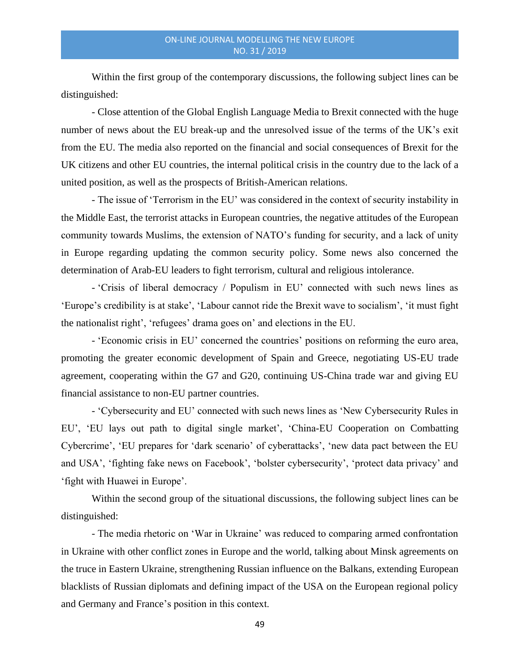Within the first group of the contemporary discussions, the following subject lines can be distinguished:

- Close attention of the Global English Language Media to Brexit connected with the huge number of news about the EU break-up and the unresolved issue of the terms of the UK's exit from the EU. The media also reported on the financial and social consequences of Brexit for the UK citizens and other EU countries, the internal political crisis in the country due to the lack of a united position, as well as the prospects of British-American relations.

- The issue of 'Terrorism in the EU' was considered in the context of security instability in the Middle East, the terrorist attacks in European countries, the negative attitudes of the European community towards Muslims, the extension of NATO's funding for security, and a lack of unity in Europe regarding updating the common security policy. Some news also concerned the determination of Arab-EU leaders to fight terrorism, cultural and religious intolerance.

- 'Crisis of liberal democracy / Populism in EU' connected with such news lines as 'Europe's credibility is at stake', 'Labour cannot ride the Brexit wave to socialism', 'it must fight the nationalist right', 'refugees' drama goes on' and elections in the EU.

- 'Economic crisis in EU' concerned the countries' positions on reforming the euro area, promoting the greater economic development of Spain and Greece, negotiating US-EU trade agreement, cooperating within the G7 and G20, continuing US-China trade war and giving EU financial assistance to non-EU partner countries.

- 'Cybersecurity and EU' connected with such news lines as 'New Cybersecurity Rules in EU', 'EU lays out path to digital single market', 'China-EU Cooperation on Combatting Cybercrime', 'EU prepares for 'dark scenario' of cyberattacks', 'new data pact between the EU and USA', 'fighting fake news on Facebook', 'bolster cybersecurity', 'protect data privacy' and 'fight with Huawei in Europe'.

Within the second group of the situational discussions, the following subject lines can be distinguished:

- The media rhetoric on 'War in Ukraine' was reduced to comparing armed confrontation in Ukraine with other conflict zones in Europe and the world, talking about Minsk agreements on the truce in Eastern Ukraine, strengthening Russian influence on the Balkans, extending European blacklists of Russian diplomats and defining impact of the USA on the European regional policy and Germany and France's position in this context.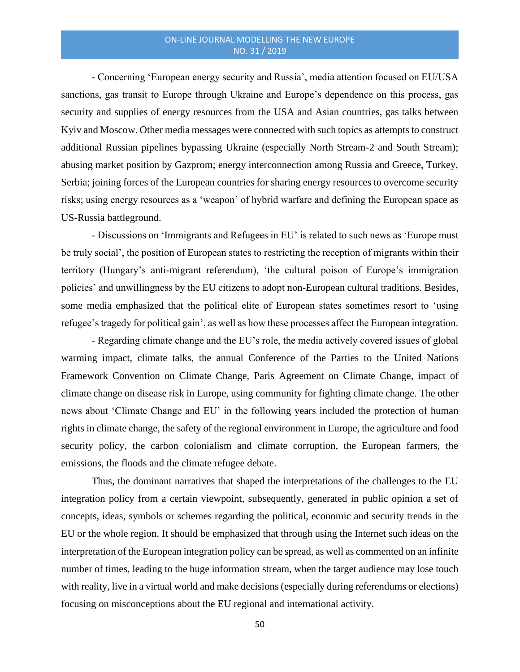- Concerning 'European energy security and Russia', media attention focused on EU/USA sanctions, gas transit to Europe through Ukraine and Europe's dependence on this process, gas security and supplies of energy resources from the USA and Asian countries, gas talks between Kyiv and Moscow. Other media messages were connected with such topics as attempts to construct additional Russian pipelines bypassing Ukraine (especially North Stream-2 and South Stream); abusing market position by Gazprom; energy interconnection among Russia and Greece, Turkey, Serbia; joining forces of the European countries for sharing energy resources to overcome security risks; using energy resources as a 'weapon' of hybrid warfare and defining the European space as US-Russia battleground.

- Discussions on 'Immigrants and Refugees in EU' is related to such news as 'Europe must be truly social', the position of European states to restricting the reception of migrants within their territory (Hungary's anti-migrant referendum), 'the cultural poison of Europe's immigration policies' and unwillingness by the EU citizens to adopt non-European cultural traditions. Besides, some media emphasized that the political elite of European states sometimes resort to 'using refugee's tragedy for political gain', as well as how these processes affect the European integration.

- Regarding climate change and the EU's role, the media actively covered issues of global warming impact, climate talks, the annual Conference of the Parties to the United Nations Framework Convention on Climate Change, Paris Agreement on Climate Change, impact of climate change on disease risk in Europe, using community for fighting climate change. The other news about 'Climate Change and EU' in the following years included the protection of human rights in climate change, the safety of the regional environment in Europe, the agriculture and food security policy, the carbon colonialism and climate corruption, the European farmers, the emissions, the floods and the climate refugee debate.

Thus, the dominant narratives that shaped the interpretations of the challenges to the EU integration policy from a certain viewpoint, subsequently, generated in public opinion a set of concepts, ideas, symbols or schemes regarding the political, economic and security trends in the EU or the whole region. It should be emphasized that through using the Internet such ideas on the interpretation of the European integration policy can be spread, as well as commented on an infinite number of times, leading to the huge information stream, when the target audience may lose touch with reality, live in a virtual world and make decisions (especially during referendums or elections) focusing on misconceptions about the EU regional and international activity.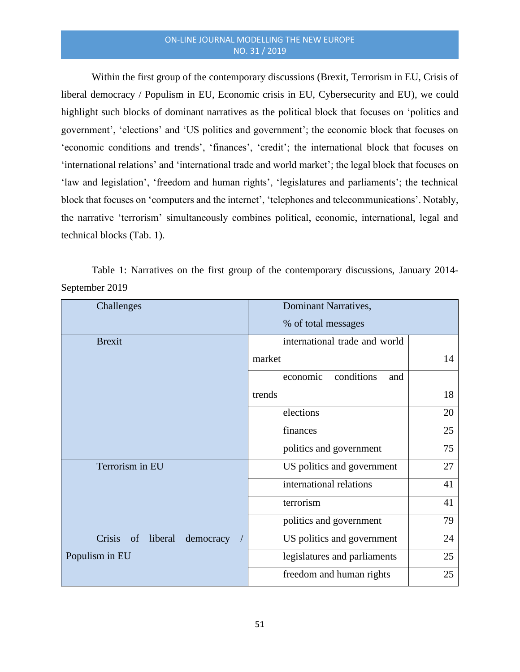Within the first group of the contemporary discussions (Brexit, Terrorism in EU, Crisis of liberal democracy / Populism in EU, Economic crisis in EU, Cybersecurity and EU), we could highlight such blocks of dominant narratives as the political block that focuses on 'politics and government', 'elections' and 'US politics and government'; the economic block that focuses on 'economic conditions and trends', 'finances', 'credit'; the international block that focuses on 'international relations' and 'international trade and world market'; the legal block that focuses on 'law and legislation', 'freedom and human rights', 'legislatures and parliaments'; the technical block that focuses on 'computers and the internet', 'telephones and telecommunications'. Notably, the narrative 'terrorism' simultaneously combines political, economic, international, legal and technical blocks (Tab. 1).

Table 1: Narratives on the first group of the contemporary discussions, January 2014- September 2019

| Challenges                           | Dominant Narratives,          |    |
|--------------------------------------|-------------------------------|----|
|                                      | % of total messages           |    |
| <b>Brexit</b>                        | international trade and world |    |
|                                      | market                        | 14 |
|                                      | conditions<br>economic<br>and |    |
|                                      | trends                        | 18 |
|                                      | elections                     | 20 |
|                                      | finances                      | 25 |
|                                      | politics and government       | 75 |
| Terrorism in EU                      | US politics and government    | 27 |
|                                      | international relations       | 41 |
|                                      | terrorism                     | 41 |
|                                      | politics and government       | 79 |
| Crisis<br>of<br>liberal<br>democracy | US politics and government    | 24 |
| Populism in EU                       | legislatures and parliaments  | 25 |
|                                      | freedom and human rights      | 25 |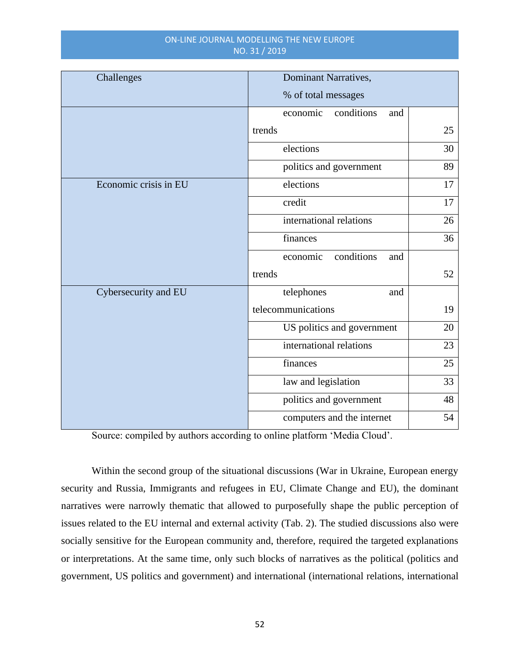| Challenges            | <b>Dominant Narratives,</b>   |    |
|-----------------------|-------------------------------|----|
|                       | % of total messages           |    |
|                       | conditions<br>economic<br>and |    |
|                       | trends                        | 25 |
|                       | elections                     | 30 |
|                       | politics and government       | 89 |
| Economic crisis in EU | elections                     | 17 |
|                       | credit                        | 17 |
|                       | international relations       | 26 |
|                       | finances                      | 36 |
|                       | conditions<br>economic<br>and |    |
|                       | trends                        | 52 |
| Cybersecurity and EU  | telephones<br>and             |    |
|                       | telecommunications            | 19 |
|                       | US politics and government    | 20 |
|                       | international relations       | 23 |
|                       | finances                      | 25 |
|                       | law and legislation           | 33 |
|                       | politics and government       | 48 |
|                       | computers and the internet    | 54 |

Source: compiled by authors according to online platform 'Media Cloud'.

Within the second group of the situational discussions (War in Ukraine, European energy security and Russia, Immigrants and refugees in EU, Climate Change and EU), the dominant narratives were narrowly thematic that allowed to purposefully shape the public perception of issues related to the EU internal and external activity (Tab. 2). The studied discussions also were socially sensitive for the European community and, therefore, required the targeted explanations or interpretations. At the same time, only such blocks of narratives as the political (politics and government, US politics and government) and international (international relations, international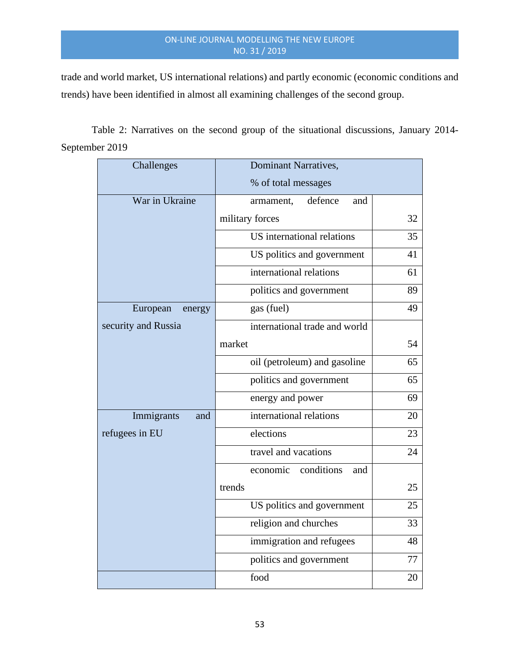trade and world market, US international relations) and partly economic (economic conditions and trends) have been identified in almost all examining challenges of the second group.

Table 2: Narratives on the second group of the situational discussions, January 2014- September 2019

| Challenges          | <b>Dominant Narratives,</b>       |    |
|---------------------|-----------------------------------|----|
|                     | % of total messages               |    |
| War in Ukraine      | defence<br>armament,<br>and       |    |
|                     | military forces                   | 32 |
|                     | <b>US</b> international relations | 35 |
|                     | US politics and government        | 41 |
|                     | international relations           | 61 |
|                     | politics and government           | 89 |
| European<br>energy  | gas (fuel)                        | 49 |
| security and Russia | international trade and world     |    |
|                     | market                            | 54 |
|                     | oil (petroleum) and gasoline      | 65 |
|                     | politics and government           | 65 |
|                     | energy and power                  | 69 |
| Immigrants<br>and   | international relations           | 20 |
| refugees in EU      | elections                         | 23 |
|                     | travel and vacations              | 24 |
|                     | conditions<br>economic<br>and     |    |
|                     | trends                            | 25 |
|                     | US politics and government        | 25 |
|                     | religion and churches             | 33 |
|                     | immigration and refugees          | 48 |
|                     | politics and government           | 77 |
|                     | food                              | 20 |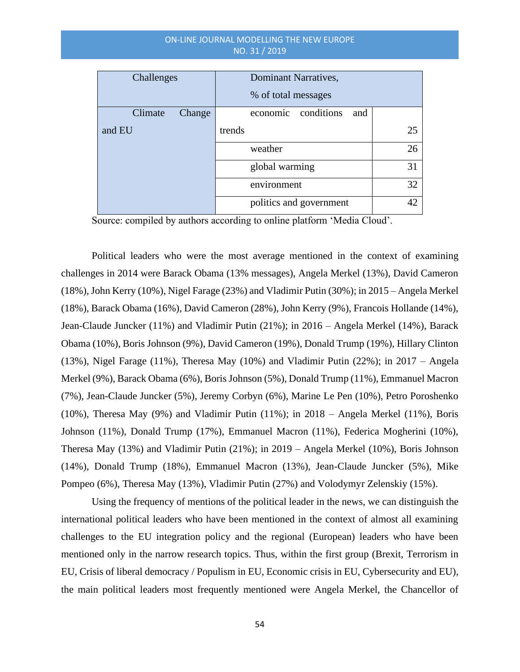| Challenges        | Dominant Narratives,          |    |
|-------------------|-------------------------------|----|
|                   | % of total messages           |    |
| Climate<br>Change | conditions<br>economic<br>and |    |
| and EU            | trends                        | 25 |
|                   | weather                       | 26 |
|                   | global warming                | 31 |
|                   | environment                   | 32 |
|                   | politics and government       | 42 |

Source: compiled by authors according to online platform 'Media Cloud'.

Political leaders who were the most average mentioned in the context of examining challenges in 2014 were Barack Obama (13% messages), Angela Merkel (13%), David Cameron (18%), John Kerry (10%), Nigel Farage (23%) and Vladimir Putin (30%); in 2015 – Angela Merkel (18%), Barack Obama (16%), David Cameron (28%), John Kerry (9%), Francois Hollande (14%), Jean-Claude Juncker (11%) and Vladimir Putin (21%); in 2016 – Angela Merkel (14%), Barack Obama (10%), Boris Johnson (9%), David Cameron (19%), Donald Trump (19%), Hillary Clinton (13%), Nigel Farage (11%), Theresa May (10%) and Vladimir Putin (22%); in 2017 – Angela Merkel (9%), Barack Obama (6%), Boris Johnson (5%), Donald Trump (11%), Emmanuel Macron (7%), Jean-Claude Juncker (5%), Jeremy Corbyn (6%), Marine Le Pen (10%), Petro Poroshenko (10%), Theresa May (9%) and Vladimir Putin (11%); in 2018 – Angela Merkel (11%), Boris Johnson (11%), Donald Trump (17%), Emmanuel Macron (11%), Federica Mogherini (10%), Theresa May (13%) and Vladimir Putin (21%); in 2019 – Angela Merkel (10%), Boris Johnson (14%), Donald Trump (18%), Emmanuel Macron (13%), Jean-Claude Juncker (5%), Mike Pompeo (6%), Theresa May (13%), Vladimir Putin (27%) and Volodymyr Zelenskiy (15%).

Using the frequency of mentions of the political leader in the news, we can distinguish the international political leaders who have been mentioned in the context of almost all examining challenges to the EU integration policy and the regional (European) leaders who have been mentioned only in the narrow research topics. Thus, within the first group (Brexit, Terrorism in EU, Crisis of liberal democracy / Populism in EU, Economic crisis in EU, Cybersecurity and EU), the main political leaders most frequently mentioned were Angela Merkel, the Chancellor of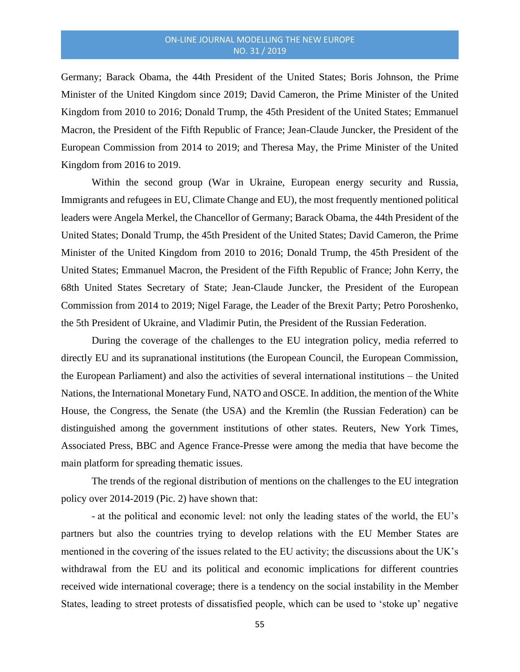Germany; Barack Obama, the 44th President of the United States; Boris Johnson, the Prime Minister of the United Kingdom since 2019; David Cameron, the Prime Minister of the United Kingdom from 2010 to 2016; Donald Trump, the 45th President of the United States; Emmanuel Macron, the President of the Fifth Republic of France; Jean-Claude Juncker, the President of the European Commission from 2014 to 2019; and Theresa May, the Prime Minister of the United Kingdom from 2016 to 2019.

Within the second group (War in Ukraine, European energy security and Russia, Immigrants and refugees in EU, Climate Change and EU), the most frequently mentioned political leaders were Angela Merkel, the Chancellor of Germany; Barack Obama, the 44th President of the United States; Donald Trump, the 45th President of the United States; David Cameron, the Prime Minister of the United Kingdom from 2010 to 2016; Donald Trump, the 45th President of the United States; Emmanuel Macron, the President of the Fifth Republic of France; John Kerry, the 68th United States Secretary of State; Jean-Claude Juncker, the President of the European Commission from 2014 to 2019; Nigel Farage, the Leader of the Brexit Party; Petro Poroshenko, the 5th President of Ukraine, and Vladimir Putin, the President of the Russian Federation.

During the coverage of the challenges to the EU integration policy, media referred to directly EU and its supranational institutions (the European Council, the European Commission, the European Parliament) and also the activities of several international institutions – the United Nations, the International Monetary Fund, NATO and OSCE. In addition, the mention of the White House, the Congress, the Senate (the USA) and the Kremlin (the Russian Federation) can be distinguished among the government institutions of other states. Reuters, New York Times, Associated Press, BBC and Agence France-Presse were among the media that have become the main platform for spreading thematic issues.

The trends of the regional distribution of mentions on the challenges to the EU integration policy over 2014-2019 (Pic. 2) have shown that:

- at the political and economic level: not only the leading states of the world, the EU's partners but also the countries trying to develop relations with the EU Member States are mentioned in the covering of the issues related to the EU activity; the discussions about the UK's withdrawal from the EU and its political and economic implications for different countries received wide international coverage; there is a tendency on the social instability in the Member States, leading to street protests of dissatisfied people, which can be used to 'stoke up' negative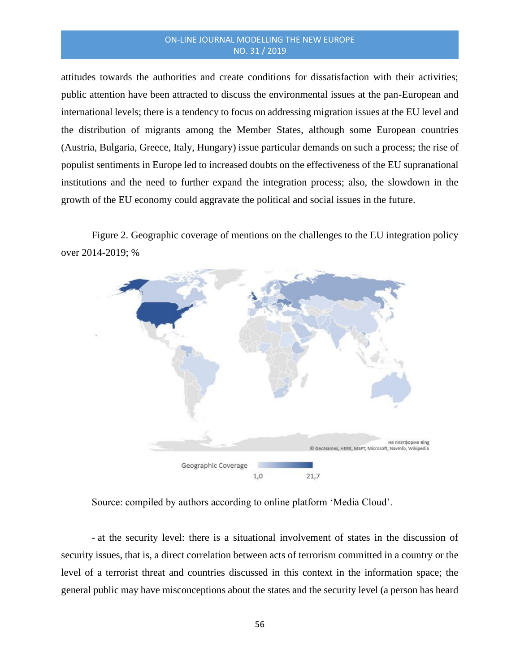attitudes towards the authorities and create conditions for dissatisfaction with their activities; public attention have been attracted to discuss the environmental issues at the pan-European and international levels; there is a tendency to focus on addressing migration issues at the EU level and the distribution of migrants among the Member States, although some European countries (Austria, Bulgaria, Greece, Italy, Hungary) issue particular demands on such a process; the rise of populist sentiments in Europe led to increased doubts on the effectiveness of the EU supranational institutions and the need to further expand the integration process; also, the slowdown in the growth of the EU economy could aggravate the political and social issues in the future.

Figure 2. Geographic coverage of mentions on the challenges to the EU integration policy over 2014-2019; %



Source: compiled by authors according to online platform 'Media Cloud'.

- at the security level: there is a situational involvement of states in the discussion of security issues, that is, a direct correlation between acts of terrorism committed in a country or the level of a terrorist threat and countries discussed in this context in the information space; the general public may have misconceptions about the states and the security level (a person has heard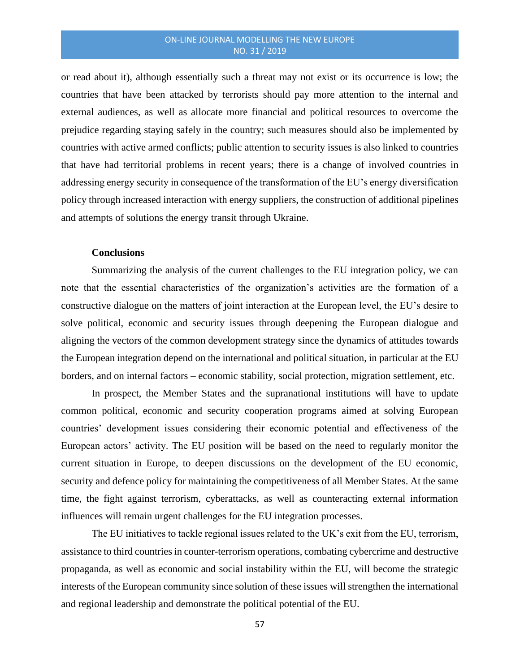or read about it), although essentially such a threat may not exist or its occurrence is low; the countries that have been attacked by terrorists should pay more attention to the internal and external audiences, as well as allocate more financial and political resources to overcome the prejudice regarding staying safely in the country; such measures should also be implemented by countries with active armed conflicts; public attention to security issues is also linked to countries that have had territorial problems in recent years; there is a change of involved countries in addressing energy security in consequence of the transformation of the EU's energy diversification policy through increased interaction with energy suppliers, the construction of additional pipelines and attempts of solutions the energy transit through Ukraine.

# **Conclusions**

Summarizing the analysis of the current challenges to the EU integration policy, we can note that the essential characteristics of the organization's activities are the formation of a constructive dialogue on the matters of joint interaction at the European level, the EU's desire to solve political, economic and security issues through deepening the European dialogue and aligning the vectors of the common development strategy since the dynamics of attitudes towards the European integration depend on the international and political situation, in particular at the EU borders, and on internal factors – economic stability, social protection, migration settlement, etc.

In prospect, the Member States and the supranational institutions will have to update common political, economic and security cooperation programs aimed at solving European countries' development issues considering their economic potential and effectiveness of the European actors' activity. The EU position will be based on the need to regularly monitor the current situation in Europe, to deepen discussions on the development of the EU economic, security and defence policy for maintaining the competitiveness of all Member States. At the same time, the fight against terrorism, cyberattacks, as well as counteracting external information influences will remain urgent challenges for the EU integration processes.

The EU initiatives to tackle regional issues related to the UK's exit from the EU, terrorism, assistance to third countries in counter-terrorism operations, combating cybercrime and destructive propaganda, as well as economic and social instability within the EU, will become the strategic interests of the European community since solution of these issues will strengthen the international and regional leadership and demonstrate the political potential of the EU.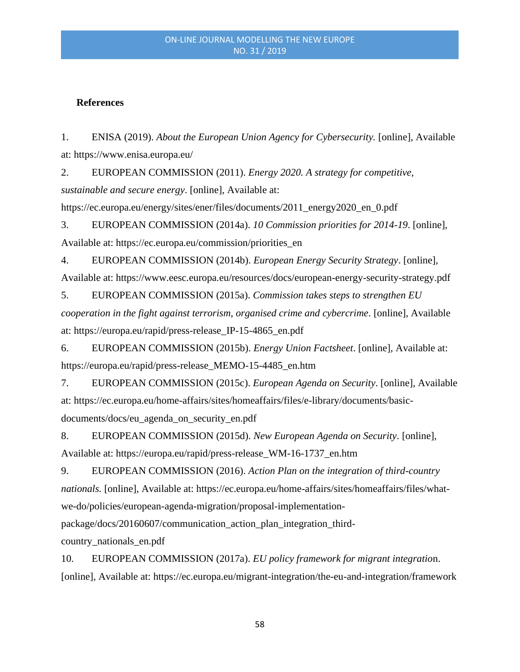# **References**

1. ENISA (2019). *About the European Union Agency for Cybersecurity.* [online], Available at: https://www.enisa.europa.eu/

2. EUROPEAN COMMISSION (2011). *Energy 2020. A strategy for competitive, sustainable and secure energy*. [online], Available at:

https://ec.europa.eu/energy/sites/ener/files/documents/2011\_energy2020\_en\_0.pdf

3. EUROPEAN COMMISSION (2014a). *10 Commission priorities for 2014-19*. [online], Available at: https://ec.europa.eu/commission/priorities\_en

4. EUROPEAN COMMISSION (2014b). *European Energy Security Strategy*. [online], Available at: https://www.eesc.europa.eu/resources/docs/european-energy-security-strategy.pdf

5. EUROPEAN COMMISSION (2015a). *Commission takes steps to strengthen EU cooperation in the fight against terrorism, organised crime and cybercrime*. [online], Available at: https://europa.eu/rapid/press-release\_IP-15-4865\_en.pdf

6. EUROPEAN COMMISSION (2015b). *Energy Union Factsheet*. [online], Available at: https://europa.eu/rapid/press-release\_MEMO-15-4485\_en.htm

7. EUROPEAN COMMISSION (2015c). *European Agenda on Security*. [online], Available at: https://ec.europa.eu/home-affairs/sites/homeaffairs/files/e-library/documents/basicdocuments/docs/eu\_agenda\_on\_security\_en.pdf

8. EUROPEAN COMMISSION (2015d). *New European Agenda on Security*. [online], Available at: https://europa.eu/rapid/press-release\_WM-16-1737\_en.htm

9. EUROPEAN COMMISSION (2016). *Action Plan on the integration of third-country nationals.* [online], Available at: https://ec.europa.eu/home-affairs/sites/homeaffairs/files/whatwe-do/policies/european-agenda-migration/proposal-implementation-

package/docs/20160607/communication\_action\_plan\_integration\_third-

country\_nationals\_en.pdf

10. EUROPEAN COMMISSION (2017a). *EU policy framework for migrant integratio*n. [online], Available at: https://ec.europa.eu/migrant-integration/the-eu-and-integration/framework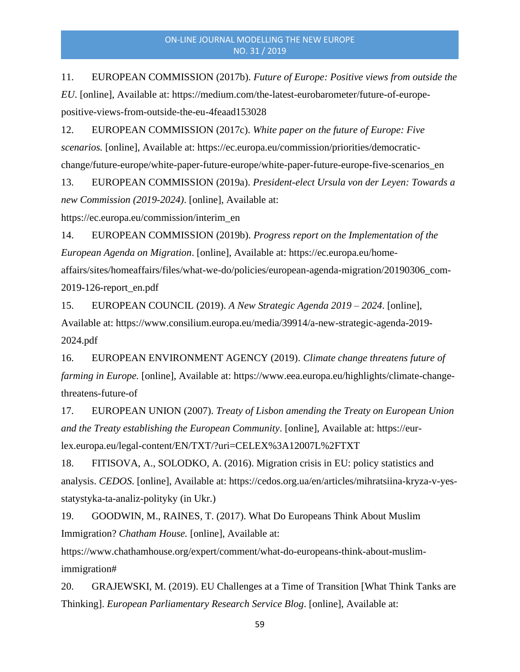11. EUROPEAN COMMISSION (2017b). *Future of Europe: Positive views from outside the EU*. [online], Available at: https://medium.com/the-latest-eurobarometer/future-of-europepositive-views-from-outside-the-eu-4feaad153028

12. EUROPEAN COMMISSION (2017c). *White paper on the future of Europe: Five scenarios.* [online], Available at: https://ec.europa.eu/commission/priorities/democraticchange/future-europe/white-paper-future-europe/white-paper-future-europe-five-scenarios\_en

13. EUROPEAN COMMISSION (2019a). *President-elect Ursula von der Leyen: Towards a new Commission (2019-2024)*. [online], Available at:

https://ec.europa.eu/commission/interim\_en

14. EUROPEAN COMMISSION (2019b). *Progress report on the Implementation of the European Agenda on Migration*. [online], Available at: https://ec.europa.eu/homeaffairs/sites/homeaffairs/files/what-we-do/policies/european-agenda-migration/20190306\_com-2019-126-report\_en.pdf

15. EUROPEAN COUNCIL (2019). *A New Strategic Agenda 2019 – 2024*. [online], Available at: https://www.consilium.europa.eu/media/39914/a-new-strategic-agenda-2019- 2024.pdf

16. EUROPEAN ENVIRONMENT AGENCY (2019). *Climate change threatens future of farming in Europe.* [online], Available at: https://www.eea.europa.eu/highlights/climate-changethreatens-future-of

17. EUROPEAN UNION (2007). *Treaty of Lisbon amending the Treaty on European Union and the Treaty establishing the European Community*. [online], Available at: https://eurlex.europa.eu/legal-content/EN/TXT/?uri=CELEX%3A12007L%2FTXT

18. FITISOVA, A., SOLODKO, A. (2016). Migration crisis in EU: policy statistics and analysis. *CEDOS*. [online], Available at: https://cedos.org.ua/en/articles/mihratsiina-kryza-v-yesstatystyka-ta-analiz-polityky (in Ukr.)

19. GOODWIN, M., RAINES, T. (2017). What Do Europeans Think About Muslim Immigration? *Chatham House.* [online], Available at:

https://www.chathamhouse.org/expert/comment/what-do-europeans-think-about-muslimimmigration#

20. GRAJEWSKI, M. (2019). EU Challenges at a Time of Transition [What Think Tanks are Thinking]. *European Parliamentary Research Service Blog*. [online], Available at: